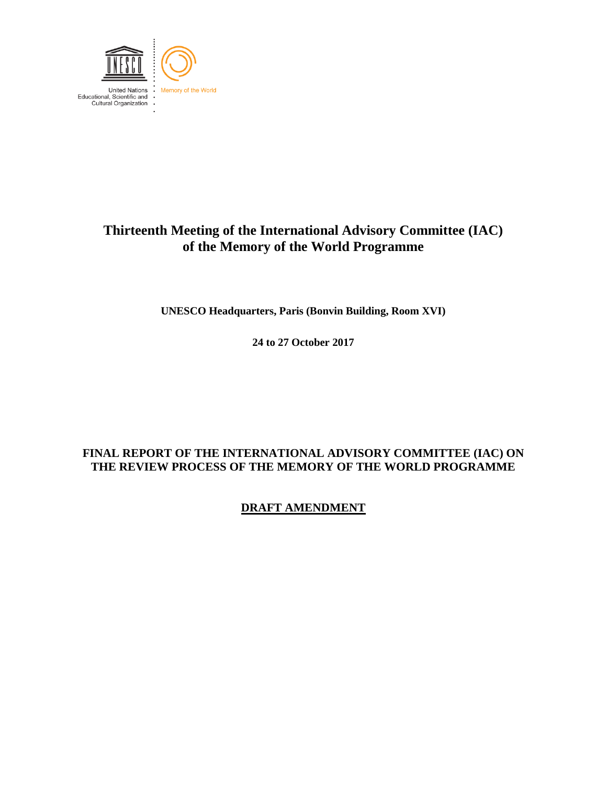

## **Thirteenth Meeting of the International Advisory Committee (IAC) of the Memory of the World Programme**

**UNESCO Headquarters, Paris (Bonvin Building, Room XVI)**

**24 to 27 October 2017**

### **FINAL REPORT OF THE INTERNATIONAL ADVISORY COMMITTEE (IAC) ON THE REVIEW PROCESS OF THE MEMORY OF THE WORLD PROGRAMME**

**DRAFT AMENDMENT**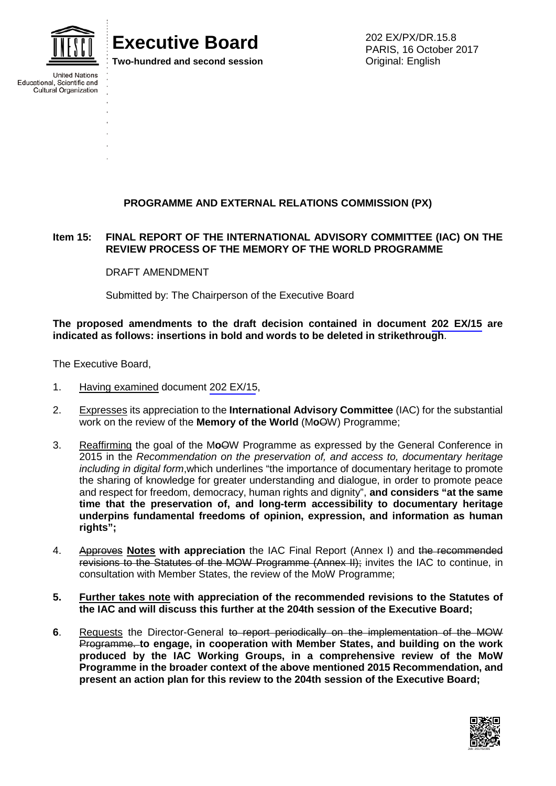

**United Nations** 

Educational, Scientific and **Cultural Organization** 

# **Executive Board**

**Two-hundred and second session**

202 EX/PX/DR.15.8 PARIS, 16 October 2017 Original: English

### **PROGRAMME AND EXTERNAL RELATIONS COMMISSION (PX)**

#### **Item 15: FINAL REPORT OF THE INTERNATIONAL ADVISORY COMMITTEE (IAC) ON THE REVIEW PROCESS OF THE MEMORY OF THE WORLD PROGRAMME**

DRAFT AMENDMENT

Submitted by: The Chairperson of the Executive Board

**The proposed amendments to the draft decision contained in document 202 EX/15 are indicated as follows: insertions in bold and words to be deleted in strikethrough**.

The Executive Board,

- 1. Having examined document 202 EX/15,
- 2. Expresses its appreciation to the **International Advisory Committee** (IAC) for the substantial work on the review of the **Memory of the World** (M**o**OW) Programme;
- 3. Reaffirming the goal of the M**o**OW Programme as expressed by the General Conference in 2015 in the *Recommendation on the preservation of, and access to, documentary heritage including in digital form*,which underlines "the importance of documentary heritage to promote the sharing of knowledge for greater understanding and dialogue, in order to promote peace and respect for freedom, democracy, human rights and dignity", **and considers "at the same time that the preservation of, and long-term accessibility to documentary heritage underpins fundamental freedoms of opinion, expression, and information as human rights";**
- 4. Approves **Notes with appreciation** the IAC Final Report (Annex I) and the recommended revisions to the Statutes of the MOW Programme (Annex II); invites the IAC to continue, in consultation with Member States, the review of the MoW Programme;
- **5. Further takes note with appreciation of the recommended revisions to the Statutes of the IAC and will discuss this further at the 204th session of the Executive Board;**
- **6**. Requests the Director-General to report periodically on the implementation of the MOW Programme. **to engage, in cooperation with Member States, and building on the work produced by the IAC Working Groups, in a comprehensive review of the MoW Programme in the broader context of the above mentioned 2015 Recommendation, and present an action plan for this review to the 204th session of the Executive Board;**